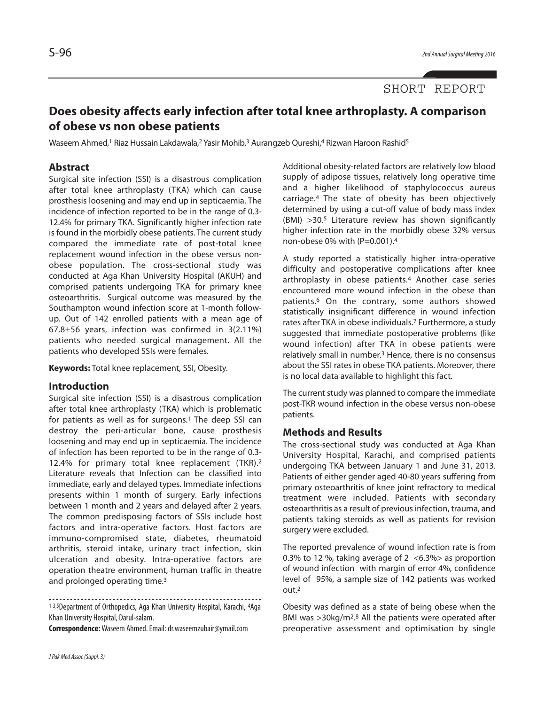## SHORT REPORT

# **Does obesity affects early infection after total knee arthroplasty. A comparison of obese vs non obese patients**

Waseem Ahmed,<sup>1</sup> Riaz Hussain Lakdawala,<sup>2</sup> Yasir Mohib,<sup>3</sup> Aurangzeb Qureshi,4 Rizwan Haroon Rashid<sup>5</sup>

### **Abstract**

Surgical site infection (SSI) is a disastrous complication after total knee arthroplasty (TKA) which can cause prosthesis loosening and may end up in septicaemia. The incidence of infection reported to be in the range of 0.3- 12.4% for primary TKA. Significantly higher infection rate is found in the morbidly obese patients. The current study compared the immediate rate of post-total knee replacement wound infection in the obese versus nonobese population. The cross-sectional study was conducted at Aga Khan University Hospital (AKUH) and comprised patients undergoing TKA for primary knee osteoarthritis. Surgical outcome was measured by the Southampton wound infection score at 1-month followup. Out of 142 enrolled patients with a mean age of 67.8±56 years, infection was confirmed in 3(2.11%) patients who needed surgical management. All the patients who developed SSIs were females.

**Keywords:** Total knee replacement, SSI, Obesity.

#### **Introduction**

Surgical site infection (SSI) is a disastrous complication after total knee arthroplasty (TKA) which is problematic for patients as well as for surgeons. <sup>1</sup> The deep SSI can destroy the peri-articular bone, cause prosthesis loosening and may end up in septicaemia. The incidence of infection has been reported to be in the range of 0.3- 12.4% for primary total knee replacement (TKR). 2 Literature reveals that Infection can be classified into immediate, early and delayed types. Immediate infections presents within 1 month of surgery. Early infections between 1 month and 2 years and delayed after 2 years. The common predisposing factors of SSIs include host factors and intra-operative factors. Host factors are immuno-compromised state, diabetes, rheumatoid arthritis, steroid intake, urinary tract infection, skin ulceration and obesity. Intra-operative factors are operation theatre environment, human traffic in theatre and prolonged operating time.<sup>3</sup>

1-3,5Department of Orthopedics, Aga Khan University Hospital, Karachi, 4Aga Khan University Hospital, Darul-salam.

**Correspondence:**Waseem Ahmed.Email:dr.waseemzubair@ymail.com

Additional obesity-related factors are relatively low blood supply of adipose tissues, relatively long operative time and a higher likelihood of staphylococcus aureus carriage. <sup>4</sup> The state of obesity has been objectively determined by using a cut-off value of body mass index (BMI) >30. <sup>5</sup> Literature review has shown significantly higher infection rate in the morbidly obese 32% versus non-obese 0% with (P=0.001).<sup>4</sup>

A study reported a statistically higher intra-operative difficulty and postoperative complications after knee arthroplasty in obese patients. <sup>4</sup> Another case series encountered more wound infection in the obese than patients. <sup>6</sup> On the contrary, some authors showed statistically insignificant difference in wound infection rates after TKA in obese individuals. <sup>7</sup> Furthermore, a study suggested that immediate postoperative problems (like wound infection) after TKA in obese patients were relatively small in number. <sup>3</sup> Hence, there is no consensus about the SSI rates in obese TKA patients. Moreover, there is no local data available to highlight this fact.

The current study was planned to compare the immediate post-TKR wound infection in the obese versus non-obese patients.

#### **Methods and Results**

The cross-sectional study was conducted at Aga Khan University Hospital, Karachi, and comprised patients undergoing TKA between January 1 and June 31, 2013. Patients of either gender aged 40-80 years suffering from primary osteoarthritis of knee joint refractory to medical treatment were included. Patients with secondary osteoarthritis as a result of previous infection, trauma, and patients taking steroids as well as patients for revision surgery were excluded.

The reported prevalence of wound infection rate is from 0.3% to 12 %, taking average of 2 <6.3%> as proportion of wound infection with margin of error 4%, confidence level of 95%, a sample size of 142 patients was worked out. 2

Obesity was defined as a state of being obese when the BMI was >30kg/m2. <sup>8</sup> All the patients were operated after preoperative assessment and optimisation by single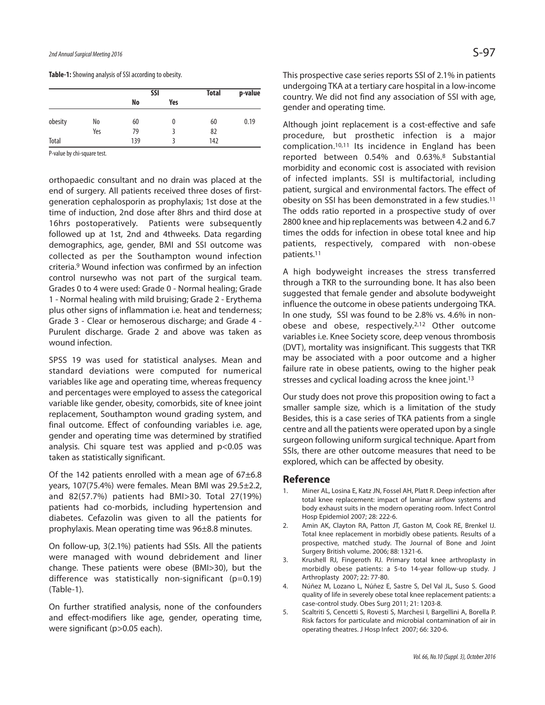**Table-1:** Showing analysis of SSI according to obesity.

|         |     | <b>SSI</b> |     | <b>Total</b> | p-value |
|---------|-----|------------|-----|--------------|---------|
|         |     | No         | Yes |              |         |
| obesity | No  | 60         | 0   | 60           | 0.19    |
|         | Yes | 79         |     | 82           |         |
| Total   |     | 139        |     | 142          |         |

P-value by chi-square test.

orthopaedic consultant and no drain was placed at the end of surgery. All patients received three doses of firstgeneration cephalosporin as prophylaxis; 1st dose at the time of induction, 2nd dose after 8hrs and third dose at 16hrs postoperatively. Patients were subsequently followed up at 1st, 2nd and 4thweeks. Data regarding demographics, age, gender, BMI and SSI outcome was collected as per the Southampton wound infection criteria. <sup>9</sup> Wound infection was confirmed by an infection control nursewho was not part of the surgical team. Grades 0 to 4 were used: Grade 0 - Normal healing; Grade 1 - Normal healing with mild bruising; Grade 2 - Erythema plus other signs of inflammation i.e. heat and tenderness; Grade 3 - Clear or hemoserous discharge; and Grade 4 - Purulent discharge. Grade 2 and above was taken as wound infection.

SPSS 19 was used for statistical analyses. Mean and standard deviations were computed for numerical variables like age and operating time, whereas frequency and percentages were employed to assess the categorical variable like gender, obesity, comorbids, site of knee joint replacement, Southampton wound grading system, and final outcome. Effect of confounding variables i.e. age, gender and operating time was determined by stratified analysis. Chi square test was applied and p<0.05 was taken as statistically significant.

Of the 142 patients enrolled with a mean age of 67±6.8 years, 107(75.4%) were females. Mean BMI was 29.5±2.2, and 82(57.7%) patients had BMI>30. Total 27(19%) patients had co-morbids, including hypertension and diabetes. Cefazolin was given to all the patients for prophylaxis. Mean operating time was 96±8.8 minutes.

On follow-up, 3(2.1%) patients had SSIs. All the patients were managed with wound debridement and liner change. These patients were obese (BMI>30), but the difference was statistically non-significant (p=0.19) (Table-1).

On further stratified analysis, none of the confounders and effect-modifiers like age, gender, operating time, were significant (p>0.05 each).

This prospective case series reports SSI of 2.1% in patients undergoing TKA at a tertiary care hospital in a low-income country. We did not find any association of SSI with age, gender and operating time.

Although joint replacement is a cost-effective and safe procedure, but prosthetic infection is a major complication. 10,11 Its incidence in England has been reported between 0.54% and 0.63%. <sup>8</sup> Substantial morbidity and economic cost is associated with revision of infected implants. SSI is multifactorial, including patient, surgical and environmental factors. The effect of obesity on SSI has been demonstrated in a few studies. 11 The odds ratio reported in a prospective study of over 2800 knee and hip replacements was between 4.2 and 6.7 times the odds for infection in obese total knee and hip patients, respectively, compared with non-obese patients. 11

A high bodyweight increases the stress transferred through a TKR to the surrounding bone. It has also been suggested that female gender and absolute bodyweight influence the outcome in obese patients undergoing TKA. In one study, SSI was found to be 2.8% vs. 4.6% in nonobese and obese, respectively. 2,12 Other outcome variables i.e. Knee Society score, deep venous thrombosis (DVT), mortality was insignificant. This suggests that TKR may be associated with a poor outcome and a higher failure rate in obese patients, owing to the higher peak stresses and cyclical loading across the knee joint. 13

Our study does not prove this proposition owing to fact a smaller sample size, which is a limitation of the study Besides, this is a case series of TKA patients from a single centre and all the patients were operated upon by a single surgeon following uniform surgical technique. Apart from SSIs, there are other outcome measures that need to be explored, which can be affected by obesity.

#### **Reference**

- 1. Miner AL, Losina E, Katz JN, Fossel AH, Platt R. Deep infection after total knee replacement: impact of laminar airflow systems and body exhaust suits in the modern operating room. Infect Control Hosp Epidemiol 2007; 28: 222-6.
- 2. Amin AK, Clayton RA, Patton JT, Gaston M, Cook RE, Brenkel IJ. Total knee replacement in morbidly obese patients. Results of a prospective, matched study. The Journal of Bone and Joint Surgery British volume. 2006; 88: 1321-6.
- 3. Krushell RJ, Fingeroth RJ. Primary total knee arthroplasty in morbidly obese patients: a 5-to 14-year follow-up study. J Arthroplasty 2007; 22: 77-80.
- 4. Núñez M, Lozano L, Núñez E, Sastre S, Del Val JL, Suso S. Good quality of life in severely obese total knee replacement patients: a case-control study. Obes Surg 2011; 21: 1203-8.
- 5. Scaltriti S, Cencetti S, Rovesti S, Marchesi I, Bargellini A, Borella P. Risk factors for particulate and microbial contamination of air in operating theatres. J Hosp Infect 2007; 66: 320-6.